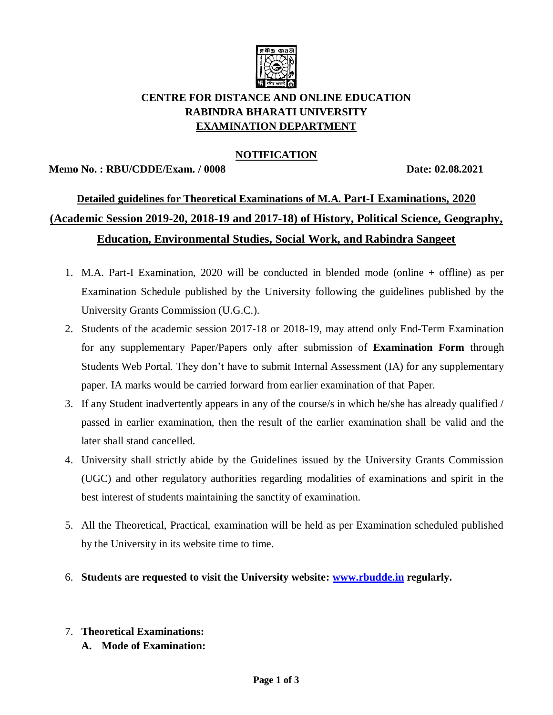

# **CENTRE FOR DISTANCE AND ONLINE EDUCATION RABINDRA BHARATI UNIVERSITY EXAMINATION DEPARTMENT**

## **NOTIFICATION**

#### **Memo No. : RBU/CDDE/Exam. / 0008 Date: 02.08.2021**

# **Detailed guidelines for Theoretical Examinations of M.A. Part-I Examinations, 2020 (Academic Session 2019-20, 2018-19 and 2017-18) of History, Political Science, Geography, Education, Environmental Studies, Social Work, and Rabindra Sangeet**

- 1. M.A. Part-I Examination, 2020 will be conducted in blended mode (online + offline) as per Examination Schedule published by the University following the guidelines published by the University Grants Commission (U.G.C.).
- 2. Students of the academic session 2017-18 or 2018-19, may attend only End-Term Examination for any supplementary Paper/Papers only after submission of **Examination Form** through Students Web Portal. They don't have to submit Internal Assessment (IA) for any supplementary paper. IA marks would be carried forward from earlier examination of that Paper.
- 3. If any Student inadvertently appears in any of the course/s in which he/she has already qualified / passed in earlier examination, then the result of the earlier examination shall be valid and the later shall stand cancelled.
- 4. University shall strictly abide by the Guidelines issued by the University Grants Commission (UGC) and other regulatory authorities regarding modalities of examinations and spirit in the best interest of students maintaining the sanctity of examination.
- 5. All the Theoretical, Practical, examination will be held as per Examination scheduled published by the University in its website time to time.
- 6. **Students are requested to visit the University website: [www.rbudde.in](http://www.rbudde.in/) regularly.**

### 7. **Theoretical Examinations:**

**A. Mode of Examination:**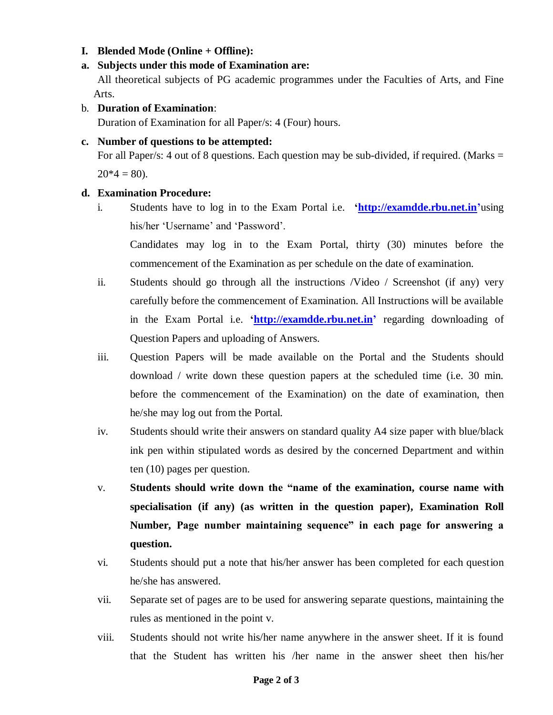#### **I. Blended Mode (Online + Offline):**

#### **a. Subjects under this mode of Examination are:**

All theoretical subjects of PG academic programmes under the Faculties of Arts, and Fine Arts.

#### b. **Duration of Examination**:

Duration of Examination for all Paper/s: 4 (Four) hours.

#### **c. Number of questions to be attempted:**

For all Paper/s: 4 out of 8 questions. Each question may be sub-divided, if required. (Marks  $=$  $20*4 = 80$ ).

#### **d. Examination Procedure:**

i. Students have to log in to the Exam Portal i.e. **['http://examdde.rbu.net.in'](http://examdde.rbu.net.in/)**using his/her 'Username' and 'Password'.

Candidates may log in to the Exam Portal, thirty (30) minutes before the commencement of the Examination as per schedule on the date of examination.

- ii. Students should go through all the instructions /Video / Screenshot (if any) very carefully before the commencement of Examination. All Instructions will be available in the Exam Portal i.e. **['http://examdde.rbu.net.in'](http://examdde.rbu.net.in/)** regarding downloading of Question Papers and uploading of Answers.
- iii. Question Papers will be made available on the Portal and the Students should download / write down these question papers at the scheduled time (i.e. 30 min. before the commencement of the Examination) on the date of examination, then he/she may log out from the Portal.
- iv. Students should write their answers on standard quality A4 size paper with blue/black ink pen within stipulated words as desired by the concerned Department and within ten (10) pages per question.
- v. **Students should write down the "name of the examination, course name with specialisation (if any) (as written in the question paper), Examination Roll Number, Page number maintaining sequence" in each page for answering a question.**
- vi. Students should put a note that his/her answer has been completed for each question he/she has answered.
- vii. Separate set of pages are to be used for answering separate questions, maintaining the rules as mentioned in the point v.
- viii. Students should not write his/her name anywhere in the answer sheet. If it is found that the Student has written his /her name in the answer sheet then his/her